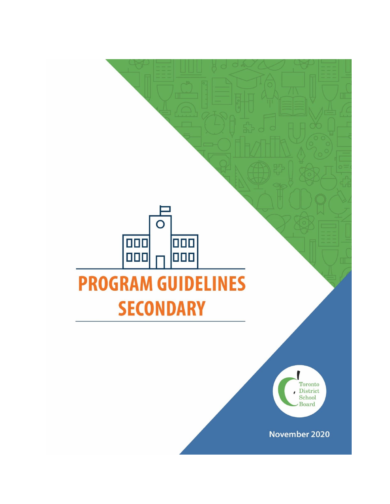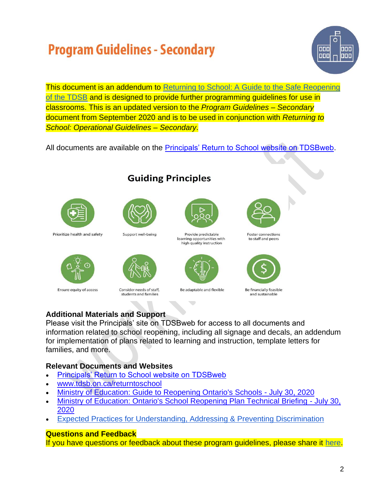

This document is an addendum to Returning to School: A Guide to the Safe Reopening [of the TDSB](https://www.tdsb.on.ca/Portals/0/docs/Returning%20to%20School_A%20Guide%20to%20the%20Safe%20Reopening%20of%20the%20TDSB_August%2010.pdf) and is designed to provide further programming guidelines for use in classrooms. This is an updated version to the *Program Guidelines – Secondary* document from September 2020 and is to be used in conjunction with *Returning to School: Operational Guidelines – Secondary*.

All documents are available on the [Principals' Return to School website on TDSBweb.](http://tdsbweb.tdsb.on.ca/principals_site/Return-to-School-Site-for-Administrators)

**Guiding Principles** 



Prioritize health and safety



Ensure equity of access



Support well-being

Consider needs of staff. students and families



```
Provide predictable
learning opportunities with
  high quality instruction
```


Be adaptable and flexible



**Foster connections** to staff and peers



Be financially feasible and sustainable

### **Additional Materials and Support**

Please visit the Principals' site on TDSBweb for access to all documents and information related to school reopening, including all signage and decals, an addendum for implementation of plans related to learning and instruction, template letters for families, and more.

### **Relevant Documents and Websites**

- [Principals' Return to School website on TDSBweb](http://tdsbweb.tdsb.on.ca/principals_site/Return-to-School-Site-for-Administrators)
- [www.tdsb.on.ca/returntoschool](http://www.tdsb.on.ca/returntoschool)
- [Ministry of Education: Guide to Reopening Ontario's Schools -](https://www.tdsb.on.ca/Portals/0/docs/Ministry%20of%20Education%20-%20Guide%20to%20Reopening%20Ontario) July 30, 2020
- [Ministry of Education: Ontario's School Reopening Plan Technical Briefing](https://www.tdsb.on.ca/Portals/0/docs/Ministry%20of%20Education%20-%20Ontario) July 30, [2020](https://www.tdsb.on.ca/Portals/0/docs/Ministry%20of%20Education%20-%20Ontario)
- [Expected Practices for Understanding, Addressing & Preventing Discrimination](https://www.tdsb.on.ca/Portals/0/docs/TDSB%20DiscriminationBroch%20(12).pdf)

### **Questions and Feedback**

If you have questions or feedback about these program guidelines, please share it [here.](http://bit.ly/spgquestions)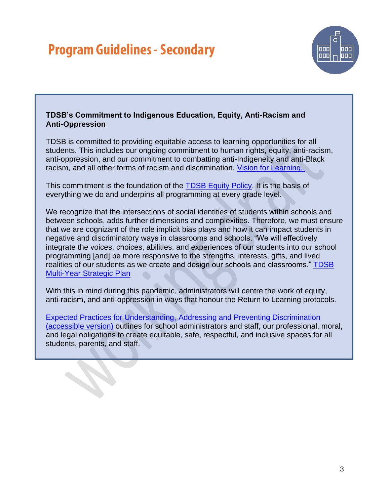

#### **TDSB's Commitment to Indigenous Education, Equity, Anti-Racism and Anti-Oppression**

TDSB is committed to providing equitable access to learning opportunities for all students. This includes our ongoing commitment to human rights, equity, anti-racism, anti-oppression, and our commitment to combatting anti-Indigeneity and anti-Black racism, and all other forms of racism and discrimination. [Vision for Learning.](https://www.tdsb.on.ca/Portals/0/docs/A%20Vision%20for%20Learning_DRAFT-240819.pdf)

This commitment is the foundation of the [TDSB Equity Policy.](http://ppf.tdsb.on.ca/uploads/files/live/97/200.pdf) It is the basis of everything we do and underpins all programming at every grade level.

We recognize that the intersections of social identities of students within schools and between schools, adds further dimensions and complexities. Therefore, we must ensure that we are cognizant of the role implicit bias plays and how it can impact students in negative and discriminatory ways in classrooms and schools. "We will effectively integrate the voices, choices, abilities, and experiences of our students into our school programming [and] be more responsive to the strengths, interests, gifts, and lived realities of our students as we create and design our schools and classrooms." [TDSB](https://www.tdsb.on.ca/Portals/0/docs/Multi-Year%20Strategic%20Plan_AODA_Oct%202019_Appendix%20A.pdf)  [Multi-Year Strategic Plan](https://www.tdsb.on.ca/Portals/0/docs/Multi-Year%20Strategic%20Plan_AODA_Oct%202019_Appendix%20A.pdf)

With this in mind during this pandemic, administrators will centre the work of equity, anti-racism, and anti-oppression in ways that honour the Return to Learning protocols.

Expected Practices for Understanding, [Addressing and Preventing Discrimination](https://www.tdsb.on.ca/About-Us/Equity/Addressing-Discrimination-and-Other-Inequities)  [\(accessible version\)](https://www.tdsb.on.ca/About-Us/Equity/Addressing-Discrimination-and-Other-Inequities) outlines for school administrators and staff, our professional, moral, and legal obligations to create equitable, safe, respectful, and inclusive spaces for all students, parents, and staff.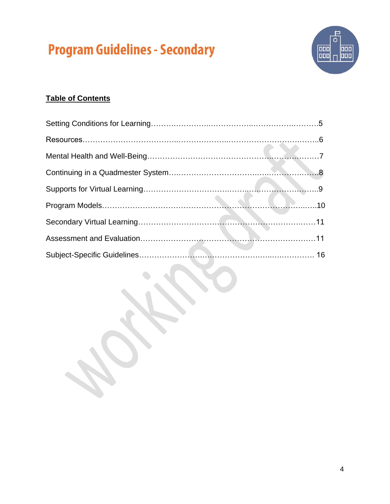

### **Table of Contents**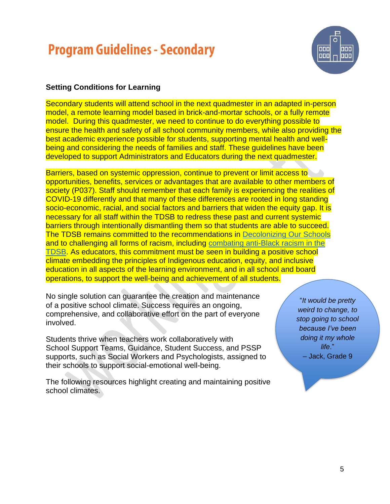

#### **Setting Conditions for Learning**

Secondary students will attend school in the next quadmester in an adapted in-person model, a remote learning model based in brick-and-mortar schools, or a fully remote model. During this quadmester, we need to continue to do everything possible to ensure the health and safety of all school community members, while also providing the best academic experience possible for students, supporting mental health and wellbeing and considering the needs of families and staff. These guidelines have been developed to support Administrators and Educators during the next quadmester.

Barriers, based on systemic oppression, continue to prevent or limit access to opportunities, benefits, services or advantages that are available to other members of society (P037). Staff should remember that each family is experiencing the realities of COVID-19 differently and that many of these differences are rooted in long standing socio-economic, racial, and social factors and barriers that widen the equity gap. It is necessary for all staff within the TDSB to redress these past and current systemic barriers through intentionally dismantling them so that students are able to succeed. The TDSB remains committed to the recommendations in [Decolonizing Our School](https://www.tdsb.on.ca/Portals/0/Community/docs/Decolonizing%20Our%20Schools%203.pdf)s and to challenging all forms of racism, including [combating anti-Black racism in the](https://www.tdsb.on.ca/Portals/ward8/docs/Shelley%20Laskin/2020%2007%20Supporting%20Black%20Student%20Achievement%20and%20Dismantling%20Anti-Black%20Racism.pdf)  [TDSB.](https://www.tdsb.on.ca/Portals/ward8/docs/Shelley%20Laskin/2020%2007%20Supporting%20Black%20Student%20Achievement%20and%20Dismantling%20Anti-Black%20Racism.pdf) As educators, this commitment must be seen in building a positive school climate embedding the principles of Indigenous education, equity, and inclusive education in all aspects of the learning environment, and in all school and board operations, to support the well-being and achievement of all students.

No single solution can guarantee the creation and maintenance of a positive school climate. Success requires an ongoing, comprehensive, and collaborative effort on the part of everyone involved.

Students thrive when teachers work collaboratively with School Support Teams, Guidance, Student Success, and PSSP supports, such as Social Workers and Psychologists, assigned to their schools to support social-emotional well-being.

The following resources highlight creating and maintaining positive school climates.

"*It would be pretty weird to change, to stop going to school because I've been doing it my whole life*." – Jack, Grade 9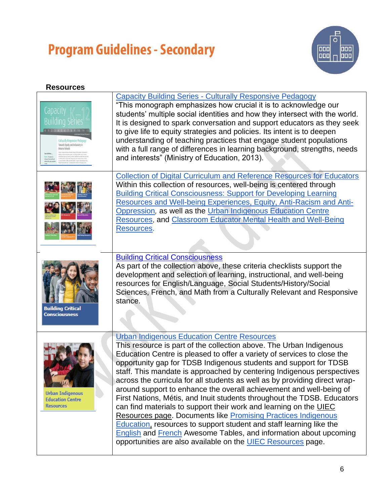

### **Resources**

| Capacity<br><b>Building Series</b><br>Culturally Responsive Pedag<br>Towards Equity and Inclusivity in | <b>Capacity Building Series - Culturally Responsive Pedagogy</b><br>"This monograph emphasizes how crucial it is to acknowledge our<br>students' multiple social identities and how they intersect with the world.<br>It is designed to spark conversation and support educators as they seek<br>to give life to equity strategies and policies. Its intent is to deepen<br>understanding of teaching practices that engage student populations<br>with a full range of differences in learning background, strengths, needs<br>and interests" (Ministry of Education, 2013).                                                                                                                                                                                                                                                                                                                                                                              |
|--------------------------------------------------------------------------------------------------------|------------------------------------------------------------------------------------------------------------------------------------------------------------------------------------------------------------------------------------------------------------------------------------------------------------------------------------------------------------------------------------------------------------------------------------------------------------------------------------------------------------------------------------------------------------------------------------------------------------------------------------------------------------------------------------------------------------------------------------------------------------------------------------------------------------------------------------------------------------------------------------------------------------------------------------------------------------|
|                                                                                                        | <b>Collection of Digital Curriculum and Reference Resources for Educators</b><br>Within this collection of resources, well-being is centered through<br><b>Building Critical Consciousness: Support for Developing Learning</b><br>Resources and Well-being Experiences, Equity, Anti-Racism and Anti-<br>Oppression, as well as the Urban Indigenous Education Centre<br><b>Resources, and Classroom Educator Mental Health and Well-Being</b><br>Resources.                                                                                                                                                                                                                                                                                                                                                                                                                                                                                              |
| <b>Building Critical</b><br>Consciousness                                                              | <b>Building Critical Consciousness</b><br>As part of the collection above, these criteria checklists support the<br>development and selection of learning, instructional, and well-being<br>resources for English/Language, Social Students/History/Social<br>Sciences, French, and Math from a Culturally Relevant and Responsive<br>stance.                                                                                                                                                                                                                                                                                                                                                                                                                                                                                                                                                                                                              |
| <b>Urban Indigenous</b><br><b>Education Centre</b><br><b>Resources</b>                                 | <b>Urban Indigenous Education Centre Resources</b><br>This resource is part of the collection above. The Urban Indigenous<br>Education Centre is pleased to offer a variety of services to close the<br>opportunity gap for TDSB Indigenous students and support for TDSB<br>staff. This mandate is approached by centering Indigenous perspectives<br>across the curricula for all students as well as by providing direct wrap-<br>around support to enhance the overall achievement and well-being of<br>First Nations, Métis, and Inuit students throughout the TDSB. Educators<br>can find materials to support their work and learning on the UIEC<br><b>Resources page. Documents like Promising Practices Indigenous</b><br><b>Education, resources to support student and staff learning like the</b><br>English and French Awesome Tables, and information about upcoming<br>opportunities are also available on the <b>UIEC</b> Resources page. |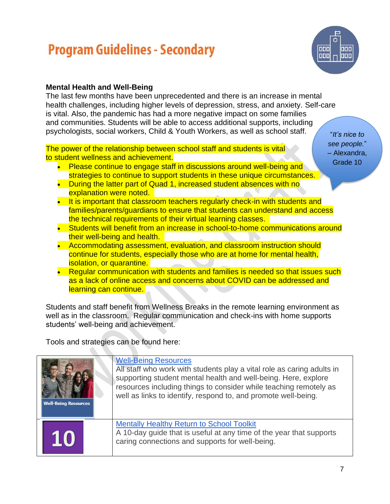

### **Mental Health and Well-Being**

The last few months have been unprecedented and there is an increase in mental health challenges, including higher levels of depression, stress, and anxiety. Self-care is vital. Also, the pandemic has had a more negative impact on some families and communities. Students will be able to access additional supports, including psychologists, social workers, Child & Youth Workers, as well as school staff.

The power of the relationship between school staff and students is vital to student wellness and achievement.

- Please continue to engage staff in discussions around well-being and strategies to continue to support students in these unique circumstances.
- During the latter part of Quad 1, increased student absences with no explanation were noted.
- It is important that classroom teachers regularly check-in with students and families/parents/guardians to ensure that students can understand and access the technical requirements of their virtual learning classes.
- Students will benefit from an increase in school-to-home communications around their well-being and health.
- Accommodating assessment, evaluation, and classroom instruction should continue for students, especially those who are at home for mental health, isolation, or quarantine.
- Regular communication with students and families is needed so that issues such as a lack of online access and concerns about COVID can be addressed and learning can continue.

Students and staff benefit from Wellness Breaks in the remote learning environment as well as in the classroom. Regular communication and check-ins with home supports students' well-being and achievement.

Tools and strategies can be found here:

| <b>Well-Being Resources</b> | <b>Well-Being Resources</b><br>All staff who work with students play a vital role as caring adults in<br>supporting student mental health and well-being. Here, explore<br>resources including things to consider while teaching remotely as<br>well as links to identify, respond to, and promote well-being. |  |
|-----------------------------|----------------------------------------------------------------------------------------------------------------------------------------------------------------------------------------------------------------------------------------------------------------------------------------------------------------|--|
| 10                          | <b>Mentally Healthy Return to School Toolkit</b><br>A 10-day guide that is useful at any time of the year that supports<br>caring connections and supports for well-being.                                                                                                                                     |  |

"*It's nice to see people.*" – Alexandra, Grade 10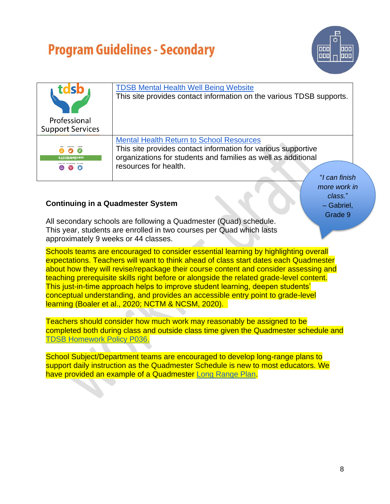

*more work in class.*" – Gabriel, Grade 9

|                                                 | <b>TDSB Mental Health Well Being Website</b><br>This site provides contact information on the various TDSB supports.                                                                                       |
|-------------------------------------------------|------------------------------------------------------------------------------------------------------------------------------------------------------------------------------------------------------------|
| Professional<br><b>Support Services</b>         |                                                                                                                                                                                                            |
| (ø)<br>#TDSBWellness<br>$\left( 95\right)$<br>പ | <b>Mental Health Return to School Resources</b><br>This site provides contact information for various supportive<br>organizations for students and families as well as additional<br>resources for health. |
|                                                 | "I can finish                                                                                                                                                                                              |

#### **Continuing in a Quadmester System**

All secondary schools are following a Quadmester (Quad) schedule. This year, students are enrolled in two courses per Quad which lasts approximately 9 weeks or 44 classes.

Schools teams are encouraged to consider essential learning by highlighting overall expectations. Teachers will want to think ahead of class start dates each Quadmester about how they will revise/repackage their course content and consider assessing and teaching prerequisite skills right before or alongside the related grade-level content. This just-in-time approach helps to improve student learning, deepen students' conceptual understanding, and provides an accessible entry point to grade-level learning (Boaler et al., 2020; NCTM & NCSM, 2020).

Teachers should consider how much work may reasonably be assigned to be completed both during class and outside class time given the Quadmester schedule and [TDSB Homework Policy P036.](https://mytdsb02.tdsb.on.ca/+CSCO+0h756767633A2F2F6D6A726F636373636571++/uploads/files/live/97/199.pdf)

School Subject/Department teams are encouraged to develop long-range plans to support daily instruction as the Quadmester Schedule is new to most educators. We have provided an example of a Quadmester [Long Range Plan.](https://docs.google.com/document/d/1mh2v9Vg_I8PoDj6S2w8dxMYXEX3XNPNwNFZ1kABqerg/edit?usp=sharing)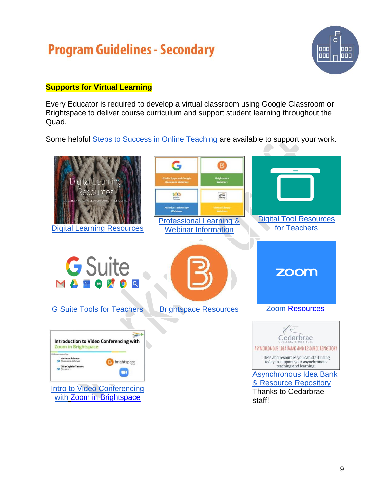

### **Supports for Virtual Learning**

Every Educator is required to develop a virtual classroom using Google Classroom or Brightspace to deliver course curriculum and support student learning throughout the Quad.

Some helpful Steps to [Success in Online Teaching](https://drive.google.com/file/d/1DkfhIqRENUmXuQD_rA0-fxkOfCmqQRwT/view?usp=sharing) are available to support your work.

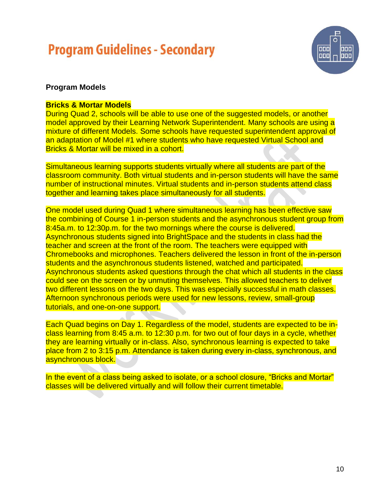

#### **Program Models**

#### **Bricks & Mortar Models**

During Quad 2, schools will be able to use one of the suggested models, or another model approved by their Learning Network Superintendent. Many schools are using a mixture of different Models. Some schools have requested superintendent approval of an adaptation of Model #1 where students who have requested Virtual School and Bricks & Mortar will be mixed in a cohort.

Simultaneous learning supports students virtually where all students are part of the classroom community. Both virtual students and in-person students will have the same number of instructional minutes. Virtual students and in-person students attend class together and learning takes place simultaneously for all students.

One model used during Quad 1 where simultaneous learning has been effective saw the combining of Course 1 in-person students and the asynchronous student group from 8:45a.m. to 12:30p.m. for the two mornings where the course is delivered. Asynchronous students signed into BrightSpace and the students in class had the teacher and screen at the front of the room. The teachers were equipped with Chromebooks and microphones. Teachers delivered the lesson in front of the in-person students and the asynchronous students listened, watched and participated. Asynchronous students asked questions through the chat which all students in the class could see on the screen or by unmuting themselves. This allowed teachers to deliver two different lessons on the two days. This was especially successful in math classes. Afternoon synchronous periods were used for new lessons, review, small-group tutorials, and one-on-one support.

Each Quad begins on Day 1. Regardless of the model, students are expected to be inclass learning from 8:45 a.m. to 12:30 p.m. for two out of four days in a cycle, whether they are learning virtually or in-class. Also, synchronous learning is expected to take place from 2 to 3:15 p.m. Attendance is taken during every in-class, synchronous, and asynchronous block.

In the event of a class being asked to isolate, or a school closure, "Bricks and Mortar" classes will be delivered virtually and will follow their current timetable.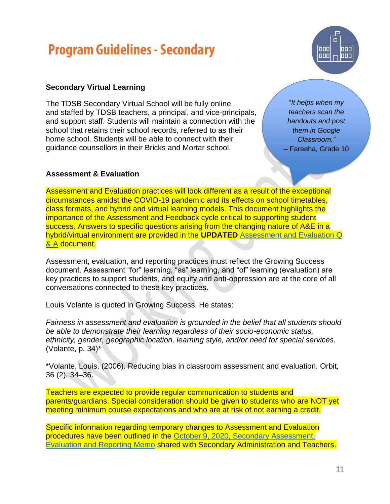

### **Secondary Virtual Learning**

The TDSB Secondary Virtual School will be fully online and staffed by TDSB teachers, a principal, and vice-principals, and support staff. Students will maintain a connection with the school that retains their school records, referred to as their home school. Students will be able to connect with their guidance counsellors in their Bricks and Mortar school.

"*It helps when my teachers scan the handouts and post them in Google Classroom."* – Fareeha, Grade 10

#### **Assessment & Evaluation**

Assessment and Evaluation practices will look different as a result of the exceptional circumstances amidst the COVID-19 pandemic and its effects on school timetables, class formats, and hybrid and virtual learning models. This document highlights the importance of the Assessment and Feedback cycle critical to supporting student success. Answers to specific questions arising from the changing nature of A&E in a hybrid/virtual environment are provided in the **UPDATED** [Assessment and Evaluation Q](https://docs.google.com/document/d/1iunx0bllONkwFM7winumy_RTizocQ-i6vTYQ5XLhQw4/edit)  [& A](https://docs.google.com/document/d/1iunx0bllONkwFM7winumy_RTizocQ-i6vTYQ5XLhQw4/edit) document.

Assessment, evaluation, and reporting practices must reflect the Growing Success document. Assessment "for" learning, "as" learning, and "of" learning (evaluation) are key practices to support students, and equity and anti-oppression are at the core of all conversations connected to these key practices.

Louis Volante is quoted in Growing Success. He states:

*Fairness in assessment and evaluation is grounded in the belief that all students should be able to demonstrate their learning regardless of their socio-economic status, ethnicity, gender, geographic location, learning style, and/or need for special services.* (Volante, p. 34)\*

\*Volante, Louis. (2006). Reducing bias in classroom assessment and evaluation. Orbit, 36 (2), 34–36.

Teachers are expected to provide regular communication to students and parents/guardians. Special consideration should be given to students who are NOT yet meeting minimum course expectations and who are at risk of not earning a credit.

Specific information regarding temporary changes to Assessment and Evaluation procedures have been outlined in the [October 9, 2020, Secondary Assessment,](https://drive.google.com/file/d/1RF4V1TmkM8Fn1jZZ4UDCLRnhTUQz8ap-/view?usp=sharing)  [Evaluation and Reporting Memo](https://drive.google.com/file/d/1RF4V1TmkM8Fn1jZZ4UDCLRnhTUQz8ap-/view?usp=sharing) shared with Secondary Administration and Teachers.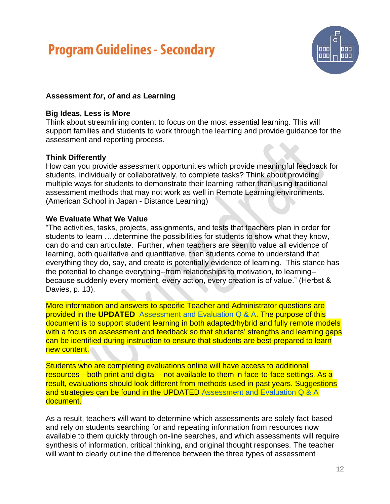

### **Assessment** *for***,** *of* **and** *as* **Learning**

#### **Big Ideas, Less is More**

Think about streamlining content to focus on the most essential learning. This will support families and students to work through the learning and provide guidance for the assessment and reporting process.

#### **Think Differently**

How can you provide assessment opportunities which provide meaningful feedback for students, individually or collaboratively, to complete tasks? Think about providing multiple ways for students to demonstrate their learning rather than using traditional assessment methods that may not work as well in Remote Learning environments. (American School in Japan - Distance Learning)

#### **We Evaluate What We Value**

"The activities, tasks, projects, assignments, and tests that teachers plan in order for students to learn ….determine the possibilities for students to show what they know, can do and can articulate. Further, when teachers are seen to value all evidence of learning, both qualitative and quantitative, then students come to understand that everything they do, say, and create is potentially evidence of learning. This stance has the potential to change everything--from relationships to motivation, to learning- because suddenly every moment, every action, every creation is of value." (Herbst & Davies, p. 13).

More information and answers to specific Teacher and Administrator questions are provided in the **UPDATED** [Assessment and Evaluation Q & A.](https://docs.google.com/document/d/1iunx0bllONkwFM7winumy_RTizocQ-i6vTYQ5XLhQw4/edit) The purpose of this document is to support student learning in both adapted/hybrid and fully remote models with a focus on assessment and feedback so that students' strengths and learning gaps can be identified during instruction to ensure that students are best prepared to learn new content.

Students who are completing evaluations online will have access to additional resources—both print and digital—not available to them in face-to-face settings. As a result, evaluations should look different from methods used in past years. Suggestions and strategies can be found in the UPDATED [Assessment and Evaluation Q & A](https://docs.google.com/document/d/1iunx0bllONkwFM7winumy_RTizocQ-i6vTYQ5XLhQw4/edit) document.

As a result, teachers will want to determine which assessments are solely fact-based and rely on students searching for and repeating information from resources now available to them quickly through on-line searches, and which assessments will require synthesis of information, critical thinking, and original thought responses. The teacher will want to clearly outline the difference between the three types of assessment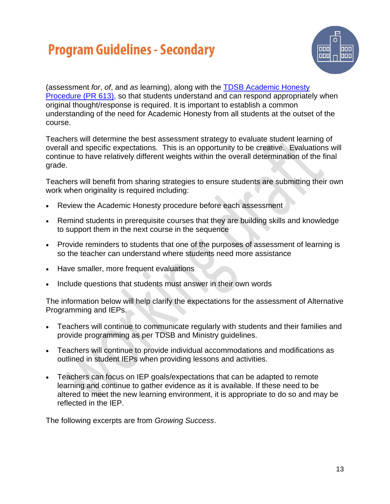

(assessment *for*, *of*, and *as* learning), along with the [TDSB Academic Honesty](https://www.tdsb.on.ca/About-Us/Policies-Procedures-Forms/Detail/docId/1783)  [Procedure \(PR 613\),](https://www.tdsb.on.ca/About-Us/Policies-Procedures-Forms/Detail/docId/1783) so that students understand and can respond appropriately when original thought/response is required. It is important to establish a common understanding of the need for Academic Honesty from all students at the outset of the course.

Teachers will determine the best assessment strategy to evaluate student learning of overall and specific expectations. This is an opportunity to be creative. Evaluations will continue to have relatively different weights within the overall determination of the final grade.

Teachers will benefit from sharing strategies to ensure students are submitting their own work when originality is required including:

- Review the Academic Honesty procedure before each assessment
- Remind students in prerequisite courses that they are building skills and knowledge to support them in the next course in the sequence
- Provide reminders to students that one of the purposes of assessment of learning is so the teacher can understand where students need more assistance
- Have smaller, more frequent evaluations
- Include questions that students must answer in their own words

The information below will help clarify the expectations for the assessment of Alternative Programming and IEPs.

- Teachers will continue to communicate regularly with students and their families and provide programming as per TDSB and Ministry guidelines.
- Teachers will continue to provide individual accommodations and modifications as outlined in student IEPs when providing lessons and activities.
- Teachers can focus on IEP goals/expectations that can be adapted to remote learning and continue to gather evidence as it is available. If these need to be altered to meet the new learning environment, it is appropriate to do so and may be reflected in the IEP.

The following excerpts are from *Growing Success*.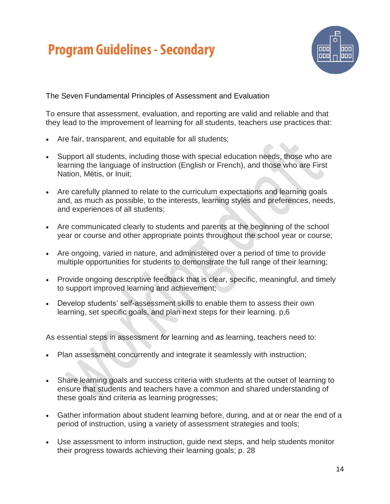

The Seven Fundamental Principles of Assessment and Evaluation

To ensure that assessment, evaluation, and reporting are valid and reliable and that they lead to the improvement of learning for all students, teachers use practices that:

- Are fair, transparent, and equitable for all students;
- Support all students, including those with special education needs, those who are learning the language of instruction (English or French), and those who are First Nation, Métis, or Inuit;
- Are carefully planned to relate to the curriculum expectations and learning goals and, as much as possible, to the interests, learning styles and preferences, needs, and experiences of all students;
- Are communicated clearly to students and parents at the beginning of the school year or course and other appropriate points throughout the school year or course;
- Are ongoing, varied in nature, and administered over a period of time to provide multiple opportunities for students to demonstrate the full range of their learning;
- Provide ongoing descriptive feedback that is clear, specific, meaningful, and timely to support improved learning and achievement;
- Develop students' self-assessment skills to enable them to assess their own learning, set specific goals, and plan next steps for their learning. p.6

As essential steps in assessment *for* learning and *as* learning, teachers need to:

- Plan assessment concurrently and integrate it seamlessly with instruction;
- Share learning goals and success criteria with students at the outset of learning to ensure that students and teachers have a common and shared understanding of these goals and criteria as learning progresses;
- Gather information about student learning before, during, and at or near the end of a period of instruction, using a variety of assessment strategies and tools;
- Use assessment to inform instruction, guide next steps, and help students monitor their progress towards achieving their learning goals; p. 28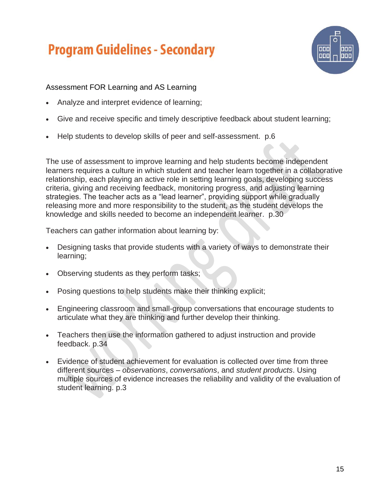

Assessment FOR Learning and AS Learning

- Analyze and interpret evidence of learning;
- Give and receive specific and timely descriptive feedback about student learning;
- Help students to develop skills of peer and self-assessment. p.6

The use of assessment to improve learning and help students become independent learners requires a culture in which student and teacher learn together in a collaborative relationship, each playing an active role in setting learning goals, developing success criteria, giving and receiving feedback, monitoring progress, and adjusting learning strategies. The teacher acts as a "lead learner", providing support while gradually releasing more and more responsibility to the student, as the student develops the knowledge and skills needed to become an independent learner. p.30

Teachers can gather information about learning by:

- Designing tasks that provide students with a variety of ways to demonstrate their learning;
- Observing students as they perform tasks;
- Posing questions to help students make their thinking explicit;
- Engineering classroom and small-group conversations that encourage students to articulate what they are thinking and further develop their thinking.
- Teachers then use the information gathered to adjust instruction and provide feedback. p.34
- Evidence of student achievement for evaluation is collected over time from three different sources – *observations*, *conversations*, and *student products*. Using multiple sources of evidence increases the reliability and validity of the evaluation of student learning. p.3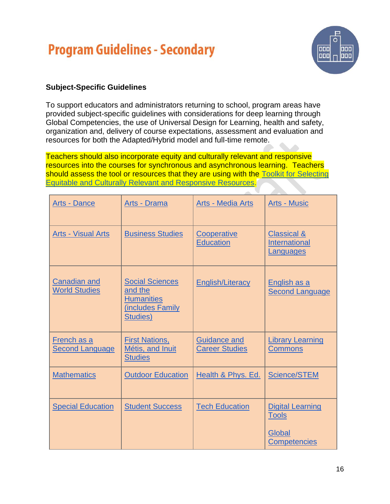

### **Subject-Specific Guidelines**

To support educators and administrators returning to school, program areas have provided subject-specific guidelines with considerations for deep learning through Global Competencies, the use of Universal Design for Learning, health and safety, organization and, delivery of course expectations, assessment and evaluation and resources for both the Adapted/Hybrid model and full-time remote.

Teachers should also incorporate equity and culturally relevant and responsive resources into the courses for synchronous and asynchronous learning. Teachers should assess the tool or resources that they are using with the Toolkit for Selecting [Equitable and Culturally Relevant and Responsive Resources.](https://www.tdsb.on.ca/Remote-Learning-Supports-and-Resources-for-Educators/Resources/Building-Critical-Consciousness)

| <b>Arts - Dance</b>                         | Arts - Drama                                                                           | <b>Arts - Media Arts</b>                     | <b>Arts - Music</b>                                                      |
|---------------------------------------------|----------------------------------------------------------------------------------------|----------------------------------------------|--------------------------------------------------------------------------|
| <b>Arts - Visual Arts</b>                   | <b>Business Studies</b>                                                                | Cooperative<br><b>Education</b>              | <u>Classical &amp;</u><br><b>International</b><br><b>Languages</b>       |
| <b>Canadian and</b><br><b>World Studies</b> | <b>Social Sciences</b><br>and the<br><b>Humanities</b><br>(includes Family<br>Studies) | <b>English/Literacy</b>                      | English as a<br><b>Second Language</b>                                   |
| French as a<br><b>Second Language</b>       | <b>First Nations,</b><br>Métis, and Inuit<br><b>Studies</b>                            | <b>Guidance and</b><br><b>Career Studies</b> | <b>Library Learning</b><br><b>Commons</b>                                |
| <b>Mathematics</b>                          | <b>Outdoor Education</b>                                                               | Health & Phys. Ed.                           | <b>Science/STEM</b>                                                      |
| <b>Special Education</b>                    | <b>Student Success</b>                                                                 | <b>Tech Education</b>                        | <b>Digital Learning</b><br><b>Tools</b><br>Global<br><b>Competencies</b> |